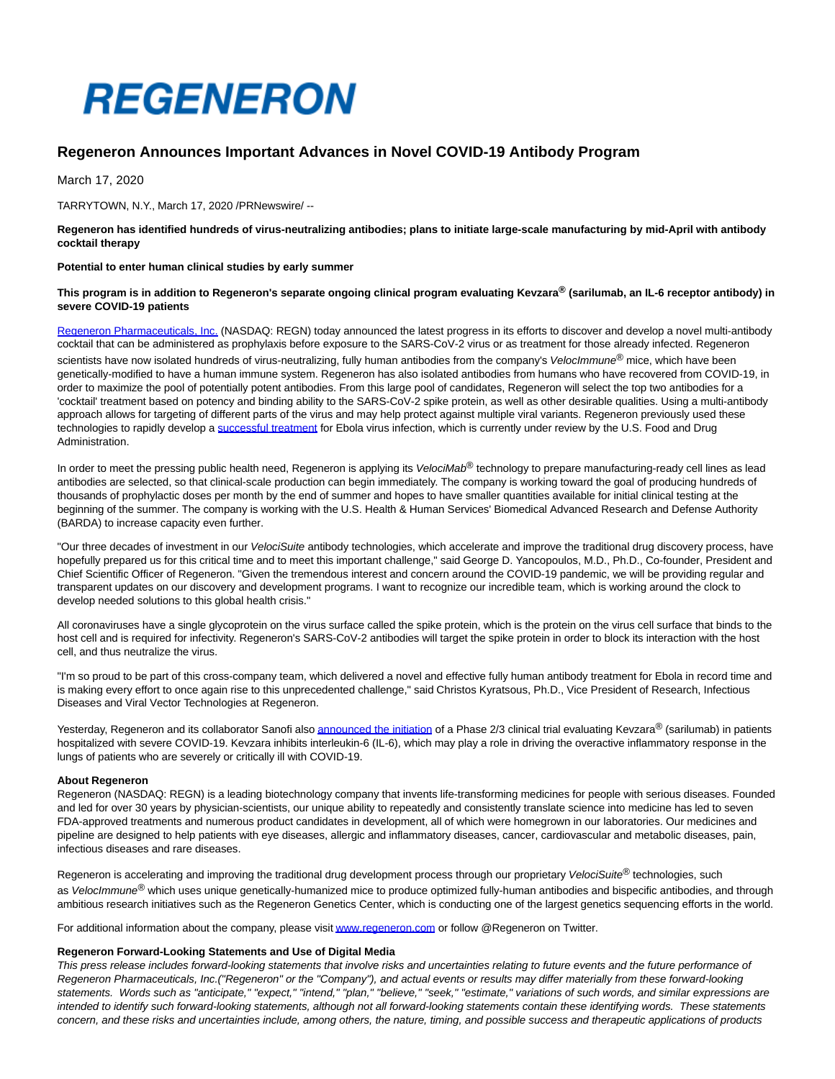# **REGENERON**

## **Regeneron Announces Important Advances in Novel COVID-19 Antibody Program**

March 17, 2020

TARRYTOWN, N.Y., March 17, 2020 /PRNewswire/ --

**Regeneron has identified hundreds of virus-neutralizing antibodies; plans to initiate large-scale manufacturing by mid-April with antibody cocktail therapy**

#### **Potential to enter human clinical studies by early summer**

### **This program is in addition to Regeneron's separate ongoing clinical program evaluating Kevzara® (sarilumab, an IL-6 receptor antibody) in severe COVID-19 patients**

[Regeneron Pharmaceuticals, Inc. \(](https://c212.net/c/link/?t=0&l=en&o=2753554-1&h=2886705198&u=http%3A%2F%2Fwww.regeneron.com%2F&a=Regeneron+Pharmaceuticals%2C+Inc.)NASDAQ: REGN) today announced the latest progress in its efforts to discover and develop a novel multi-antibody cocktail that can be administered as prophylaxis before exposure to the SARS-CoV-2 virus or as treatment for those already infected. Regeneron scientists have now isolated hundreds of virus-neutralizing, fully human antibodies from the company's VelocImmune<sup>®</sup> mice, which have been genetically-modified to have a human immune system. Regeneron has also isolated antibodies from humans who have recovered from COVID-19, in order to maximize the pool of potentially potent antibodies. From this large pool of candidates, Regeneron will select the top two antibodies for a 'cocktail' treatment based on potency and binding ability to the SARS-CoV-2 spike protein, as well as other desirable qualities. Using a multi-antibody approach allows for targeting of different parts of the virus and may help protect against multiple viral variants. Regeneron previously used these technologies to rapidly develop a [successful treatment f](https://c212.net/c/link/?t=0&l=en&o=2753554-1&h=3143220097&u=https%3A%2F%2Fnewsroom.regeneron.com%2Fnews-releases%2Fnews-release-details%2Fpalm-ebola-clinical-trial-stopped-early-regenerons-regn-eb3&a=successful+treatment)or Ebola virus infection, which is currently under review by the U.S. Food and Drug Administration.

In order to meet the pressing public health need. Regeneron is applying its VelociMab<sup>®</sup> technology to prepare manufacturing-ready cell lines as lead antibodies are selected, so that clinical-scale production can begin immediately. The company is working toward the goal of producing hundreds of thousands of prophylactic doses per month by the end of summer and hopes to have smaller quantities available for initial clinical testing at the beginning of the summer. The company is working with the U.S. Health & Human Services' Biomedical Advanced Research and Defense Authority (BARDA) to increase capacity even further.

"Our three decades of investment in our VelociSuite antibody technologies, which accelerate and improve the traditional drug discovery process, have hopefully prepared us for this critical time and to meet this important challenge," said George D. Yancopoulos, M.D., Ph.D., Co-founder, President and Chief Scientific Officer of Regeneron. "Given the tremendous interest and concern around the COVID-19 pandemic, we will be providing regular and transparent updates on our discovery and development programs. I want to recognize our incredible team, which is working around the clock to develop needed solutions to this global health crisis."

All coronaviruses have a single glycoprotein on the virus surface called the spike protein, which is the protein on the virus cell surface that binds to the host cell and is required for infectivity. Regeneron's SARS-CoV-2 antibodies will target the spike protein in order to block its interaction with the host cell, and thus neutralize the virus.

"I'm so proud to be part of this cross-company team, which delivered a novel and effective fully human antibody treatment for Ebola in record time and is making every effort to once again rise to this unprecedented challenge," said Christos Kyratsous, Ph.D., Vice President of Research, Infectious Diseases and Viral Vector Technologies at Regeneron.

Yesterday, Regeneron and its collaborator Sanofi als[o announced the initiation o](https://c212.net/c/link/?t=0&l=en&o=2753554-1&h=3173196355&u=https%3A%2F%2Finvestor.regeneron.com%2Fnews-releases%2Fnews-release-details%2Fregeneron-and-sanofi-begin-global-kevzarar-sarilumab-clinical&a=announced+the+initiation)f a Phase 2/3 clinical trial evaluating Kevzara® (sarilumab) in patients hospitalized with severe COVID-19. Kevzara inhibits interleukin-6 (IL-6), which may play a role in driving the overactive inflammatory response in the lungs of patients who are severely or critically ill with COVID-19.

#### **About Regeneron**

Regeneron (NASDAQ: REGN) is a leading biotechnology company that invents life-transforming medicines for people with serious diseases. Founded and led for over 30 years by physician-scientists, our unique ability to repeatedly and consistently translate science into medicine has led to seven FDA-approved treatments and numerous product candidates in development, all of which were homegrown in our laboratories. Our medicines and pipeline are designed to help patients with eye diseases, allergic and inflammatory diseases, cancer, cardiovascular and metabolic diseases, pain, infectious diseases and rare diseases.

Regeneron is accelerating and improving the traditional drug development process through our proprietary VelociSuite® technologies, such as VelocImmune<sup>®</sup> which uses unique genetically-humanized mice to produce optimized fully-human antibodies and bispecific antibodies, and through ambitious research initiatives such as the Regeneron Genetics Center, which is conducting one of the largest genetics sequencing efforts in the world.

For additional information about the company, please visi[t www.regeneron.com o](https://c212.net/c/link/?t=0&l=en&o=2753554-1&h=1792148807&u=http%3A%2F%2Fwww.regeneron.com%2F&a=www.regeneron.com)r follow @Regeneron on Twitter.

#### **Regeneron Forward-Looking Statements and Use of Digital Media**

This press release includes forward-looking statements that involve risks and uncertainties relating to future events and the future performance of Regeneron Pharmaceuticals, Inc.("Regeneron" or the "Company"), and actual events or results may differ materially from these forward-looking statements. Words such as "anticipate," "expect," "intend," "plan," "believe," "seek," "estimate," variations of such words, and similar expressions are intended to identify such forward-looking statements, although not all forward-looking statements contain these identifying words. These statements concern, and these risks and uncertainties include, among others, the nature, timing, and possible success and therapeutic applications of products